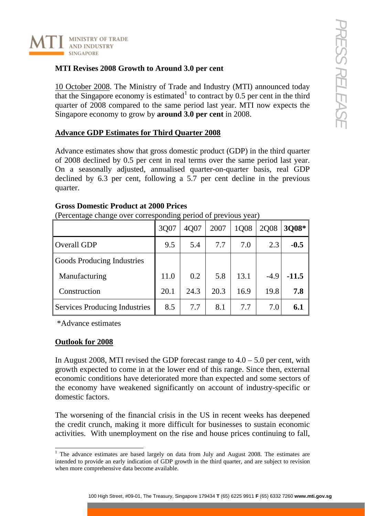

## **MTI Revises 2008 Growth to Around 3.0 per cent**

10 October 2008. The Ministry of Trade and Industry (MTI) announced today that the Singapore economy is estimated<sup>[1](#page-0-0)</sup> to contract by  $0.5$  per cent in the third quarter of 2008 compared to the same period last year. MTI now expects the Singapore economy to grow by **around 3.0 per cent** in 2008.

## **Advance GDP Estimates for Third Quarter 2008**

Advance estimates show that gross domestic product (GDP) in the third quarter of 2008 declined by 0.5 per cent in real terms over the same period last year. On a seasonally adjusted, annualised quarter-on-quarter basis, real GDP declined by 6.3 per cent, following a 5.7 per cent decline in the previous quarter.

|                                      | 3Q07 | 4Q07 | 2007 | 1Q08 | 2Q08   | 3Q08*   |  |
|--------------------------------------|------|------|------|------|--------|---------|--|
| Overall GDP                          | 9.5  | 5.4  | 7.7  | 7.0  | 2.3    | $-0.5$  |  |
| <b>Goods Producing Industries</b>    |      |      |      |      |        |         |  |
| Manufacturing                        | 11.0 | 0.2  | 5.8  | 13.1 | $-4.9$ | $-11.5$ |  |
| Construction                         | 20.1 | 24.3 | 20.3 | 16.9 | 19.8   | 7.8     |  |
| <b>Services Producing Industries</b> | 8.5  | 7.7  | 8.1  | 7.7  | 7.0    | 6.1     |  |

## **Gross Domestic Product at 2000 Prices**

(Percentage change over corresponding period of previous year)

\*Advance estimates

## **Outlook for 2008**

In August 2008, MTI revised the GDP forecast range to  $4.0 - 5.0$  per cent, with growth expected to come in at the lower end of this range. Since then, external economic conditions have deteriorated more than expected and some sectors of the economy have weakened significantly on account of industry-specific or domestic factors.

The worsening of the financial crisis in the US in recent weeks has deepened the credit crunch, making it more difficult for businesses to sustain economic activities. With unemployment on the rise and house prices continuing to fall,

<span id="page-0-0"></span><sup>&</sup>lt;sup>1</sup> The advance estimates are based largely on data from July and August 2008. The estimates are intended to provide an early indication of GDP growth in the third quarter, and are subject to revision when more comprehensive data become available.